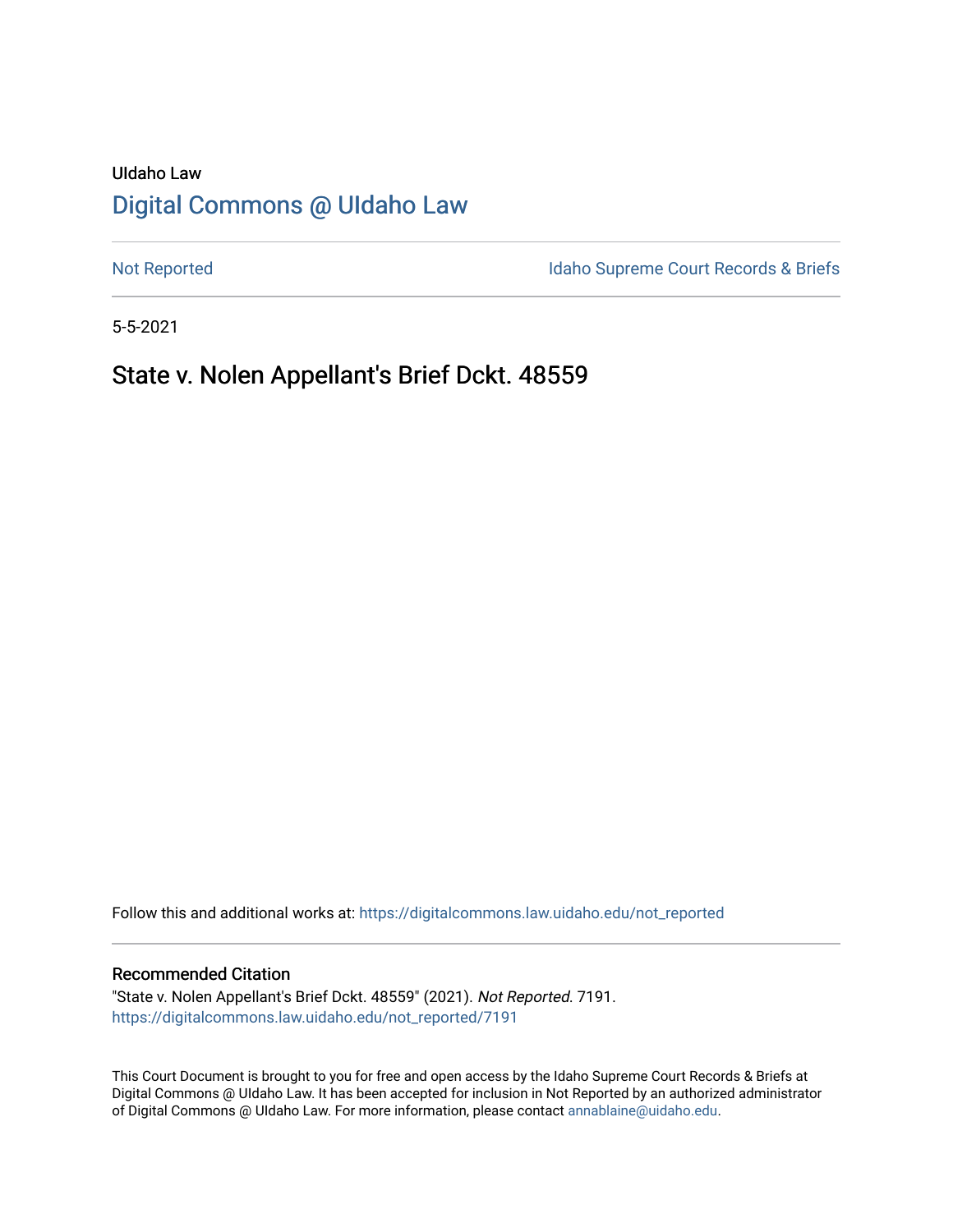# UIdaho Law [Digital Commons @ UIdaho Law](https://digitalcommons.law.uidaho.edu/)

[Not Reported](https://digitalcommons.law.uidaho.edu/not_reported) **Idaho Supreme Court Records & Briefs** 

5-5-2021

# State v. Nolen Appellant's Brief Dckt. 48559

Follow this and additional works at: [https://digitalcommons.law.uidaho.edu/not\\_reported](https://digitalcommons.law.uidaho.edu/not_reported?utm_source=digitalcommons.law.uidaho.edu%2Fnot_reported%2F7191&utm_medium=PDF&utm_campaign=PDFCoverPages) 

#### Recommended Citation

"State v. Nolen Appellant's Brief Dckt. 48559" (2021). Not Reported. 7191. [https://digitalcommons.law.uidaho.edu/not\\_reported/7191](https://digitalcommons.law.uidaho.edu/not_reported/7191?utm_source=digitalcommons.law.uidaho.edu%2Fnot_reported%2F7191&utm_medium=PDF&utm_campaign=PDFCoverPages)

This Court Document is brought to you for free and open access by the Idaho Supreme Court Records & Briefs at Digital Commons @ UIdaho Law. It has been accepted for inclusion in Not Reported by an authorized administrator of Digital Commons @ UIdaho Law. For more information, please contact [annablaine@uidaho.edu](mailto:annablaine@uidaho.edu).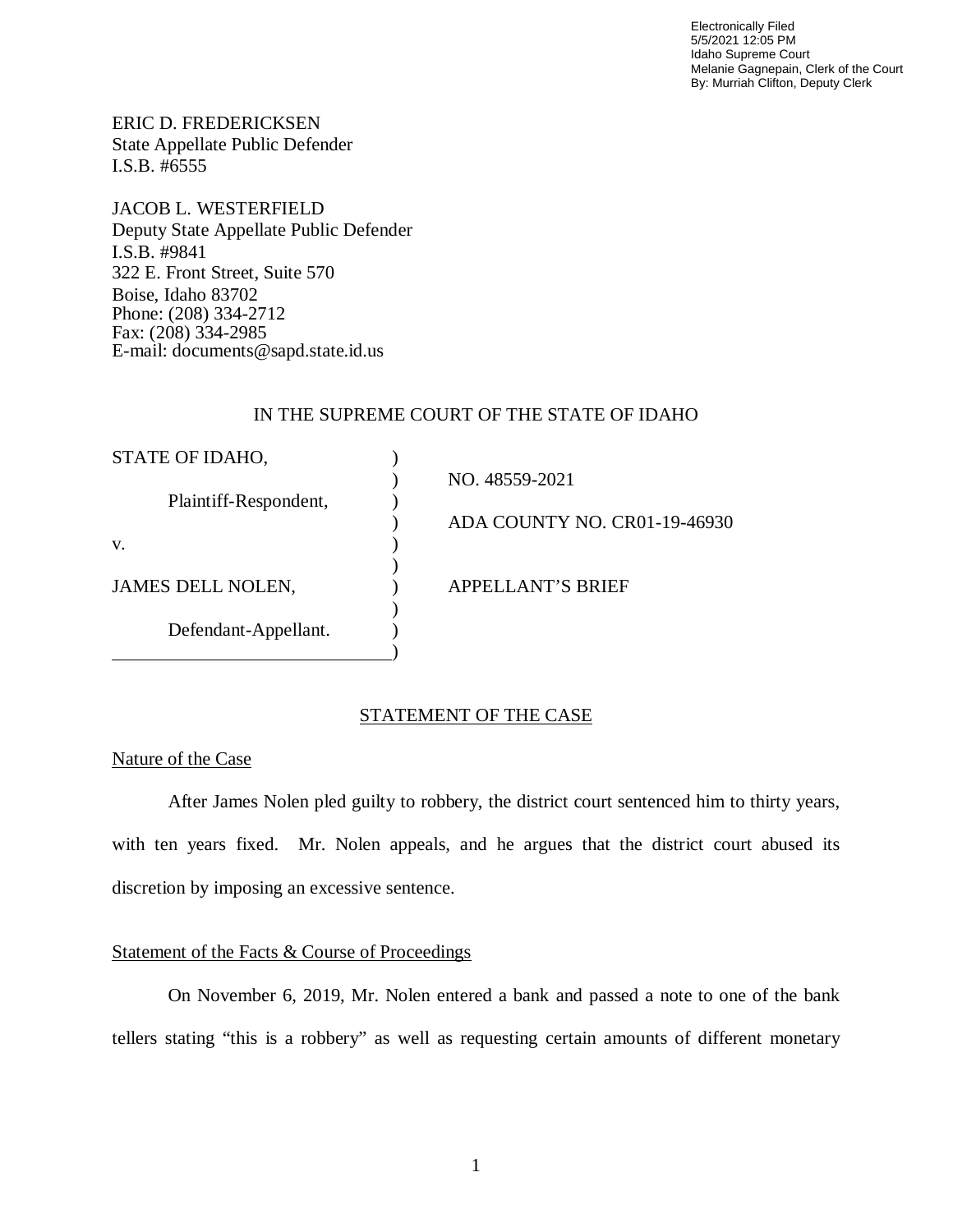Electronically Filed 5/5/2021 12:05 PM Idaho Supreme Court Melanie Gagnepain, Clerk of the Court By: Murriah Clifton, Deputy Clerk

ERIC D. FREDERICKSEN State Appellate Public Defender I.S.B. #6555

JACOB L. WESTERFIELD Deputy State Appellate Public Defender I.S.B. #9841 322 E. Front Street, Suite 570 Boise, Idaho 83702 Phone: (208) 334-2712 Fax: (208) 334-2985 E-mail: documents@sapd.state.id.us

## IN THE SUPREME COURT OF THE STATE OF IDAHO

| STATE OF IDAHO,       |                              |
|-----------------------|------------------------------|
|                       | NO. 48559-2021               |
| Plaintiff-Respondent, |                              |
|                       | ADA COUNTY NO. CR01-19-46930 |
| V.                    |                              |
|                       |                              |
| JAMES DELL NOLEN,     | <b>APPELLANT'S BRIEF</b>     |
|                       |                              |
| Defendant-Appellant.  |                              |
|                       |                              |

### STATEMENT OF THE CASE

### Nature of the Case

After James Nolen pled guilty to robbery, the district court sentenced him to thirty years, with ten years fixed. Mr. Nolen appeals, and he argues that the district court abused its discretion by imposing an excessive sentence.

## Statement of the Facts & Course of Proceedings

On November 6, 2019, Mr. Nolen entered a bank and passed a note to one of the bank tellers stating "this is a robbery" as well as requesting certain amounts of different monetary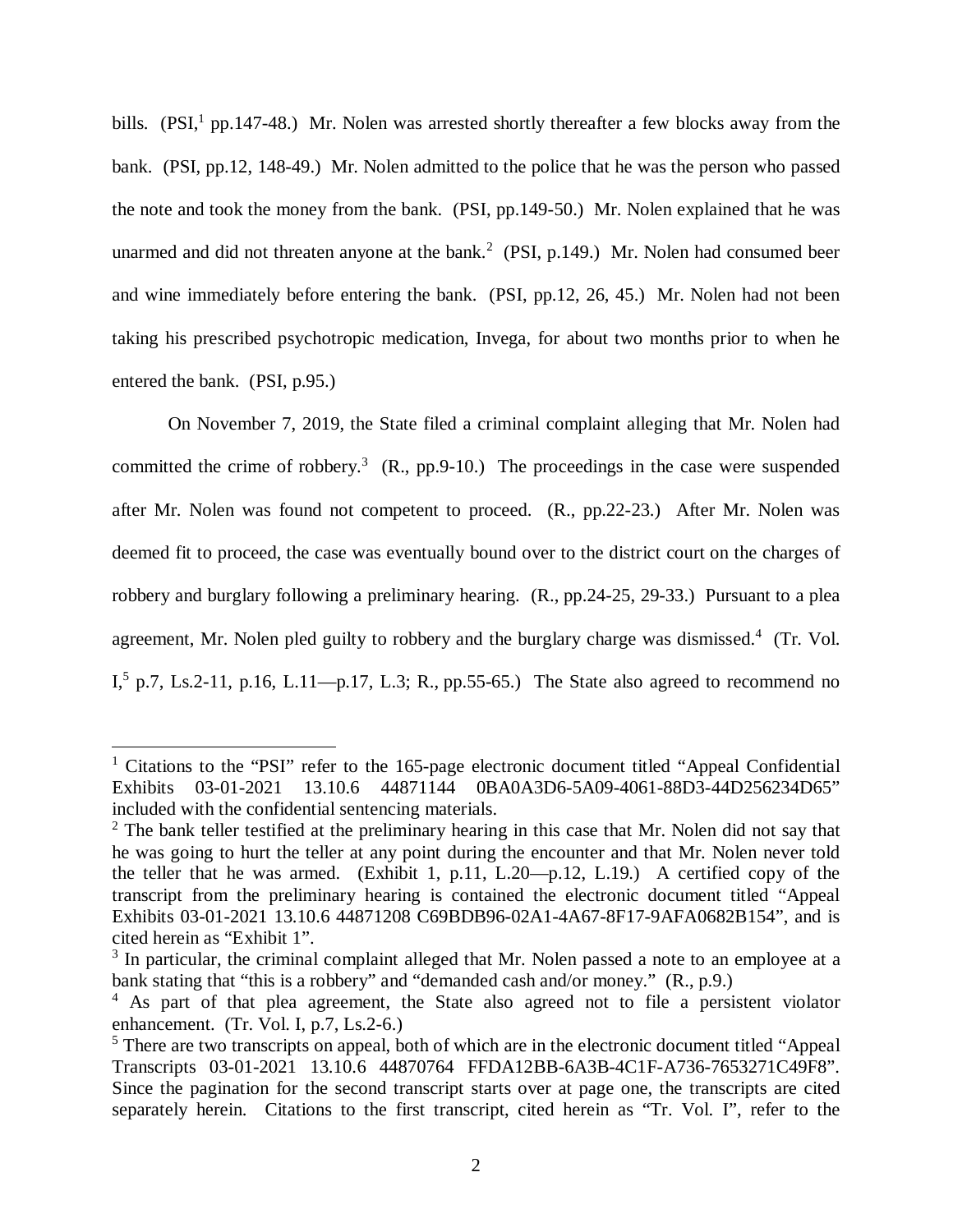bills. (PSI,<sup>[1](#page-2-0)</sup> pp.147-48.) Mr. Nolen was arrested shortly thereafter a few blocks away from the bank. (PSI, pp.12, 148-49.) Mr. Nolen admitted to the police that he was the person who passed the note and took the money from the bank. (PSI, pp.149-50.) Mr. Nolen explained that he was unarmed and did not threaten anyone at the bank.<sup>[2](#page-2-1)</sup> (PSI, p.149.) Mr. Nolen had consumed beer and wine immediately before entering the bank. (PSI, pp.12, 26, 45.) Mr. Nolen had not been taking his prescribed psychotropic medication, Invega, for about two months prior to when he entered the bank. (PSI, p.95.)

On November 7, 2019, the State filed a criminal complaint alleging that Mr. Nolen had committed the crime of robbery.<sup>[3](#page-2-2)</sup> (R., pp.9-10.) The proceedings in the case were suspended after Mr. Nolen was found not competent to proceed. (R., pp.22-23.) After Mr. Nolen was deemed fit to proceed, the case was eventually bound over to the district court on the charges of robbery and burglary following a preliminary hearing. (R., pp.24-25, 29-33.) Pursuant to a plea agreement, Mr. Nolen pled guilty to robbery and the burglary charge was dismissed.<sup>[4](#page-2-3)</sup> (Tr. Vol. I,[5](#page-2-4) p.7, Ls.2-11, p.16, L.11—p.17, L.3; R., pp.55-65.) The State also agreed to recommend no

<span id="page-2-0"></span><sup>&</sup>lt;sup>1</sup> Citations to the "PSI" refer to the 165-page electronic document titled "Appeal Confidential Exhibits 03-01-2021 13.10.6 44871144 0BA0A3D6-5A09-4061-88D3-44D256234D65" included with the confidential sentencing materials.

<span id="page-2-1"></span> $2$  The bank teller testified at the preliminary hearing in this case that Mr. Nolen did not say that he was going to hurt the teller at any point during the encounter and that Mr. Nolen never told the teller that he was armed. (Exhibit 1, p.11, L.20—p.12, L.19.) A certified copy of the transcript from the preliminary hearing is contained the electronic document titled "Appeal Exhibits 03-01-2021 13.10.6 44871208 C69BDB96-02A1-4A67-8F17-9AFA0682B154", and is cited herein as "Exhibit 1".

<span id="page-2-2"></span><sup>&</sup>lt;sup>3</sup> In particular, the criminal complaint alleged that Mr. Nolen passed a note to an employee at a bank stating that "this is a robbery" and "demanded cash and/or money." (R., p.9.)

<span id="page-2-3"></span><sup>&</sup>lt;sup>4</sup> As part of that plea agreement, the State also agreed not to file a persistent violator enhancement. (Tr. Vol. I, p.7, Ls.2-6.)

<span id="page-2-4"></span><sup>&</sup>lt;sup>5</sup> There are two transcripts on appeal, both of which are in the electronic document titled "Appeal Transcripts 03-01-2021 13.10.6 44870764 FFDA12BB-6A3B-4C1F-A736-7653271C49F8". Since the pagination for the second transcript starts over at page one, the transcripts are cited separately herein. Citations to the first transcript, cited herein as "Tr. Vol. I", refer to the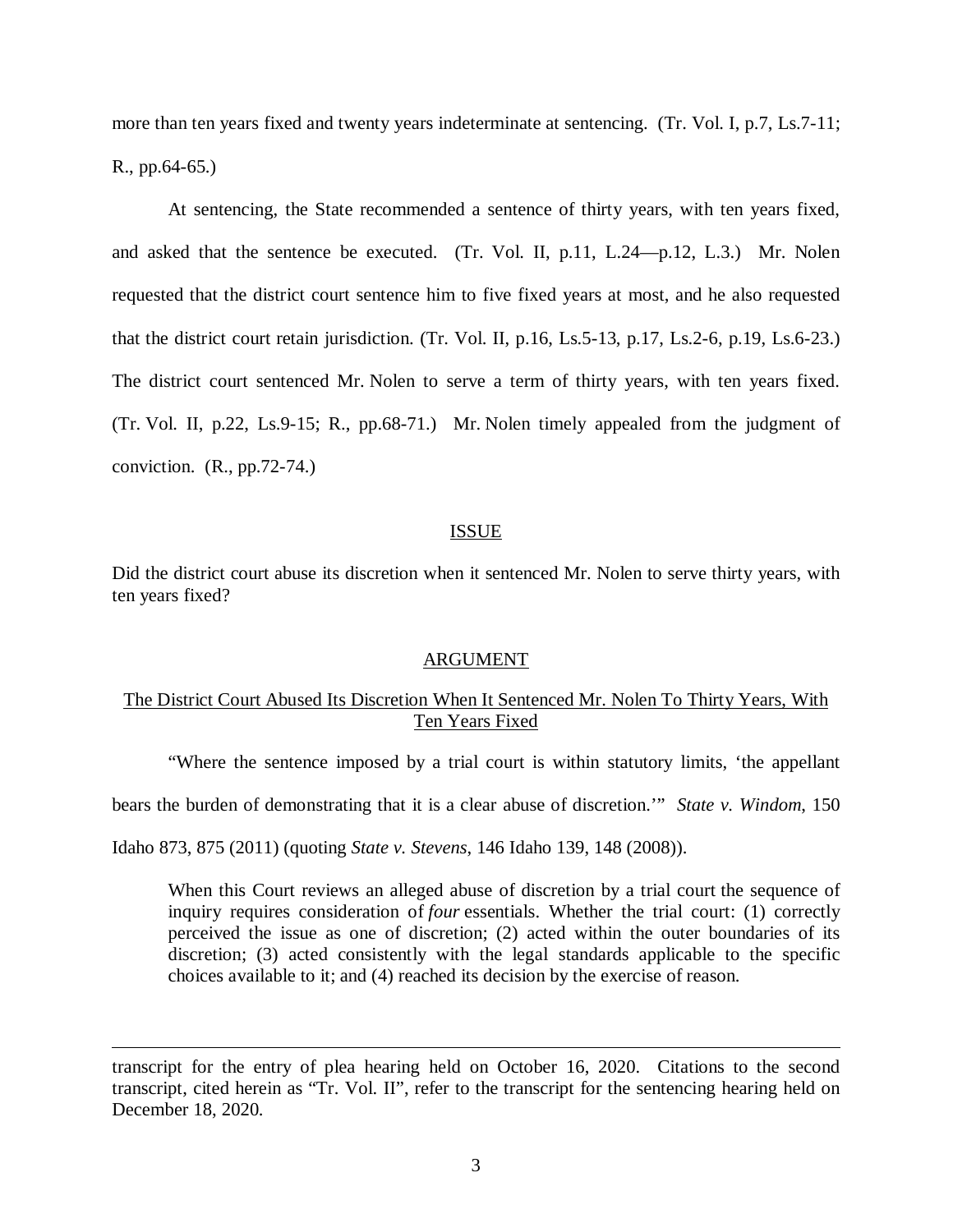more than ten years fixed and twenty years indeterminate at sentencing. (Tr. Vol. I, p.7, Ls.7-11; R., pp.64-65.)

At sentencing, the State recommended a sentence of thirty years, with ten years fixed, and asked that the sentence be executed. (Tr. Vol. II, p.11, L.24—p.12, L.3.) Mr. Nolen requested that the district court sentence him to five fixed years at most, and he also requested that the district court retain jurisdiction. (Tr. Vol. II, p.16, Ls.5-13, p.17, Ls.2-6, p.19, Ls.6-23.) The district court sentenced Mr. Nolen to serve a term of thirty years, with ten years fixed. (Tr. Vol. II, p.22, Ls.9-15; R., pp.68-71.) Mr. Nolen timely appealed from the judgment of conviction. (R., pp.72-74.)

#### ISSUE

Did the district court abuse its discretion when it sentenced Mr. Nolen to serve thirty years, with ten years fixed?

#### ARGUMENT

## The District Court Abused Its Discretion When It Sentenced Mr. Nolen To Thirty Years, With Ten Years Fixed

"Where the sentence imposed by a trial court is within statutory limits, 'the appellant

bears the burden of demonstrating that it is a clear abuse of discretion.'" *State v. Windom*, 150

Idaho 873, 875 (2011) (quoting *State v. Stevens*, 146 Idaho 139, 148 (2008)).

When this Court reviews an alleged abuse of discretion by a trial court the sequence of inquiry requires consideration of *four* essentials. Whether the trial court: (1) correctly perceived the issue as one of discretion; (2) acted within the outer boundaries of its discretion; (3) acted consistently with the legal standards applicable to the specific choices available to it; and (4) reached its decision by the exercise of reason.

transcript for the entry of plea hearing held on October 16, 2020. Citations to the second transcript, cited herein as "Tr. Vol. II", refer to the transcript for the sentencing hearing held on December 18, 2020.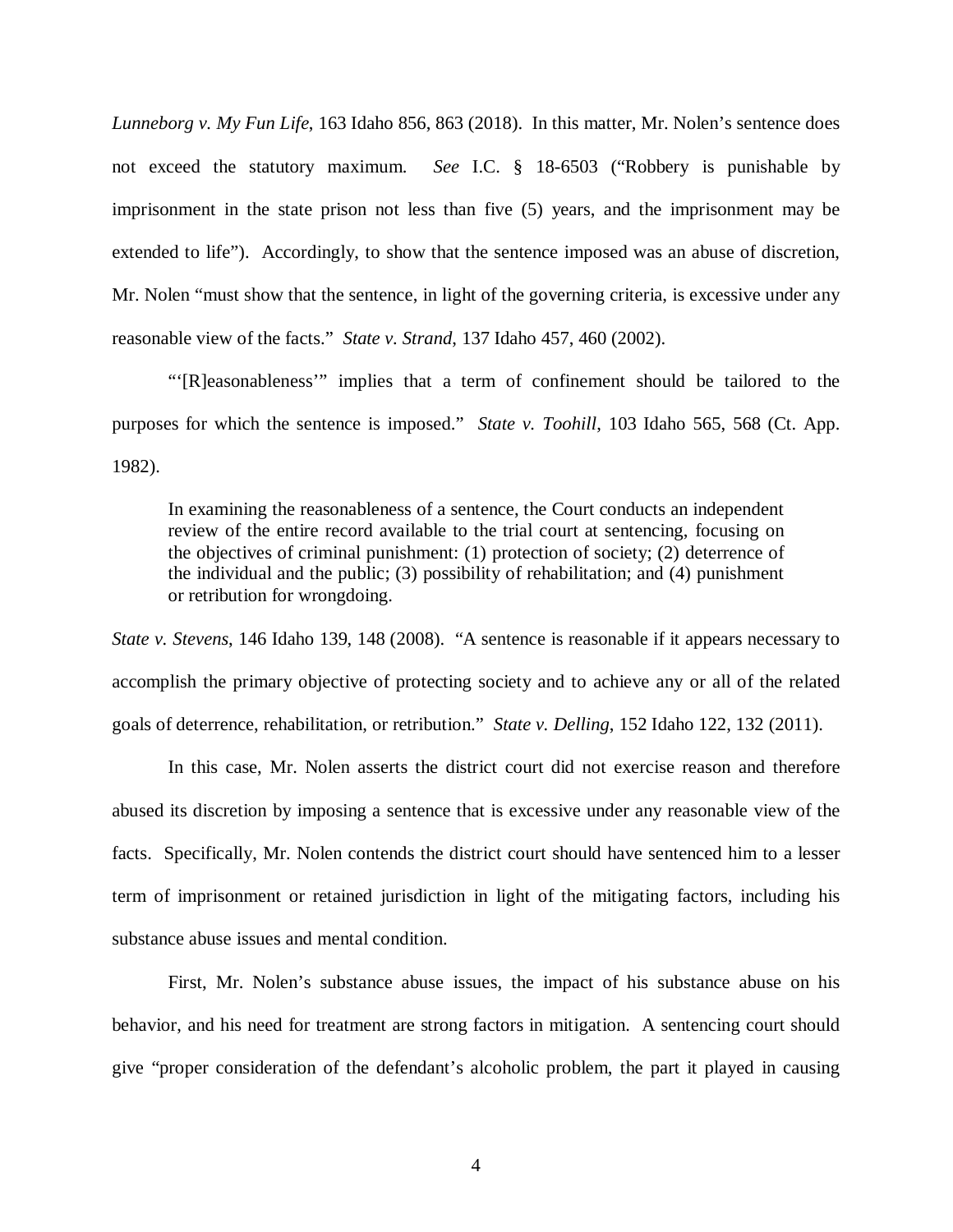*Lunneborg v. My Fun Life*, 163 Idaho 856, 863 (2018). In this matter, Mr. Nolen's sentence does not exceed the statutory maximum. *See* I.C. § 18-6503 ("Robbery is punishable by imprisonment in the state prison not less than five (5) years, and the imprisonment may be extended to life"). Accordingly, to show that the sentence imposed was an abuse of discretion, Mr. Nolen "must show that the sentence, in light of the governing criteria, is excessive under any reasonable view of the facts." *State v. Strand*, 137 Idaho 457, 460 (2002).

"'[R]easonableness'" implies that a term of confinement should be tailored to the purposes for which the sentence is imposed." *State v. Toohill*, 103 Idaho 565, 568 (Ct. App. 1982).

In examining the reasonableness of a sentence, the Court conducts an independent review of the entire record available to the trial court at sentencing, focusing on the objectives of criminal punishment: (1) protection of society; (2) deterrence of the individual and the public; (3) possibility of rehabilitation; and (4) punishment or retribution for wrongdoing.

*State v. Stevens*, 146 Idaho 139, 148 (2008). "A sentence is reasonable if it appears necessary to accomplish the primary objective of protecting society and to achieve any or all of the related goals of deterrence, rehabilitation, or retribution." *State v. Delling*, 152 Idaho 122, 132 (2011).

In this case, Mr. Nolen asserts the district court did not exercise reason and therefore abused its discretion by imposing a sentence that is excessive under any reasonable view of the facts. Specifically, Mr. Nolen contends the district court should have sentenced him to a lesser term of imprisonment or retained jurisdiction in light of the mitigating factors, including his substance abuse issues and mental condition.

First, Mr. Nolen's substance abuse issues, the impact of his substance abuse on his behavior, and his need for treatment are strong factors in mitigation. A sentencing court should give "proper consideration of the defendant's alcoholic problem, the part it played in causing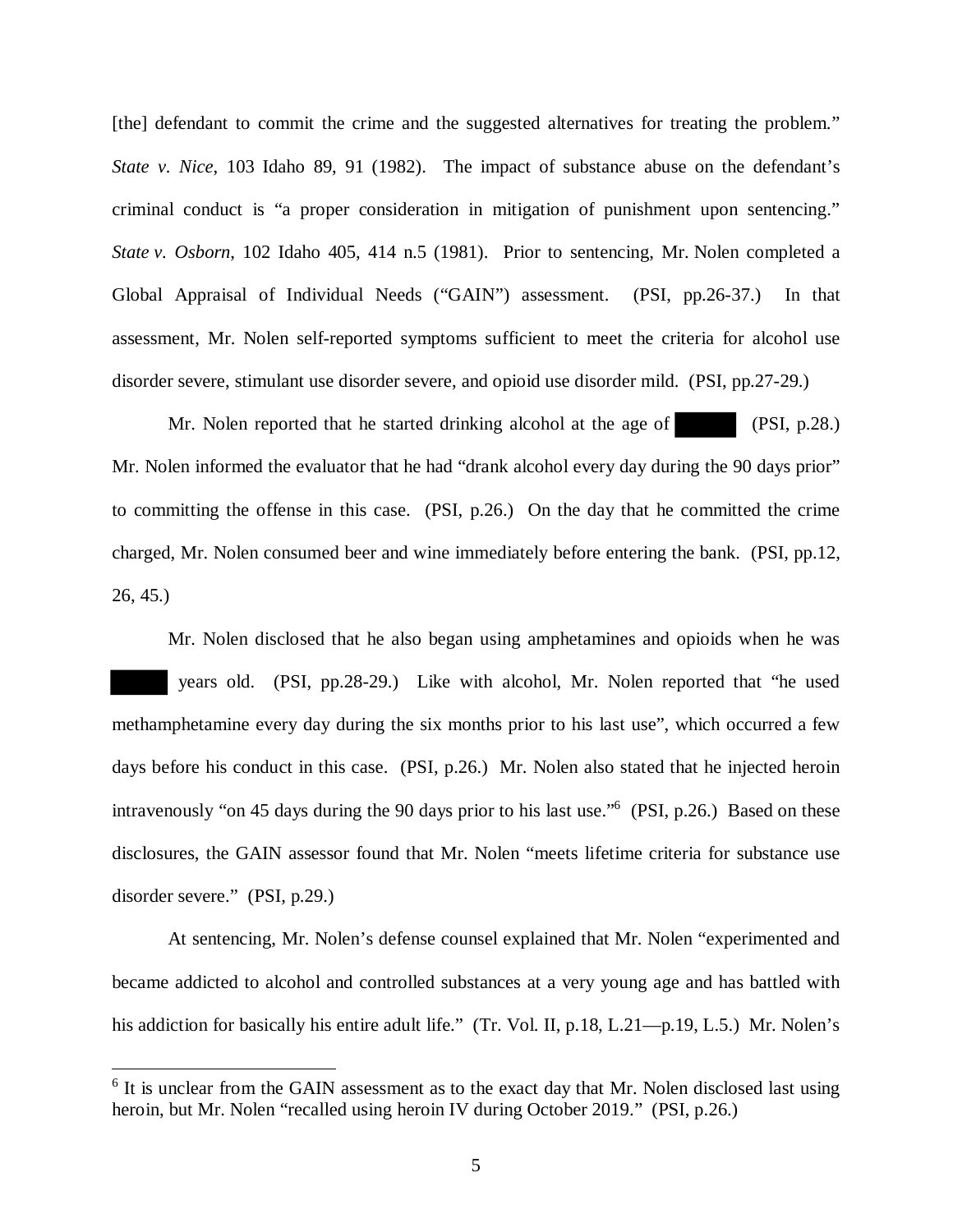[the] defendant to commit the crime and the suggested alternatives for treating the problem." *State v. Nice*, 103 Idaho 89, 91 (1982). The impact of substance abuse on the defendant's criminal conduct is "a proper consideration in mitigation of punishment upon sentencing." *State v. Osborn*, 102 Idaho 405, 414 n.5 (1981). Prior to sentencing, Mr. Nolen completed a Global Appraisal of Individual Needs ("GAIN") assessment. (PSI, pp.26-37.) In that assessment, Mr. Nolen self-reported symptoms sufficient to meet the criteria for alcohol use disorder severe, stimulant use disorder severe, and opioid use disorder mild. (PSI, pp.27-29.)

Mr. Nolen reported that he started drinking alcohol at the age of (PSI, p.28.) Mr. Nolen informed the evaluator that he had "drank alcohol every day during the 90 days prior" to committing the offense in this case. (PSI, p.26.) On the day that he committed the crime charged, Mr. Nolen consumed beer and wine immediately before entering the bank. (PSI, pp.12, 26, 45.)

Mr. Nolen disclosed that he also began using amphetamines and opioids when he was years old. (PSI, pp.28-29.) Like with alcohol, Mr. Nolen reported that "he used methamphetamine every day during the six months prior to his last use", which occurred a few days before his conduct in this case. (PSI, p.26.) Mr. Nolen also stated that he injected heroin intravenously "on 45 days during the 90 days prior to his last use."<sup>[6](#page-5-0)</sup> (PSI, p.26.) Based on these disclosures, the GAIN assessor found that Mr. Nolen "meets lifetime criteria for substance use disorder severe." (PSI, p.29.)

At sentencing, Mr. Nolen's defense counsel explained that Mr. Nolen "experimented and became addicted to alcohol and controlled substances at a very young age and has battled with his addiction for basically his entire adult life." (Tr. Vol. II, p.18, L.21—p.19, L.5.) Mr. Nolen's

<span id="page-5-0"></span><sup>&</sup>lt;sup>6</sup> It is unclear from the GAIN assessment as to the exact day that Mr. Nolen disclosed last using heroin, but Mr. Nolen "recalled using heroin IV during October 2019." (PSI, p.26.)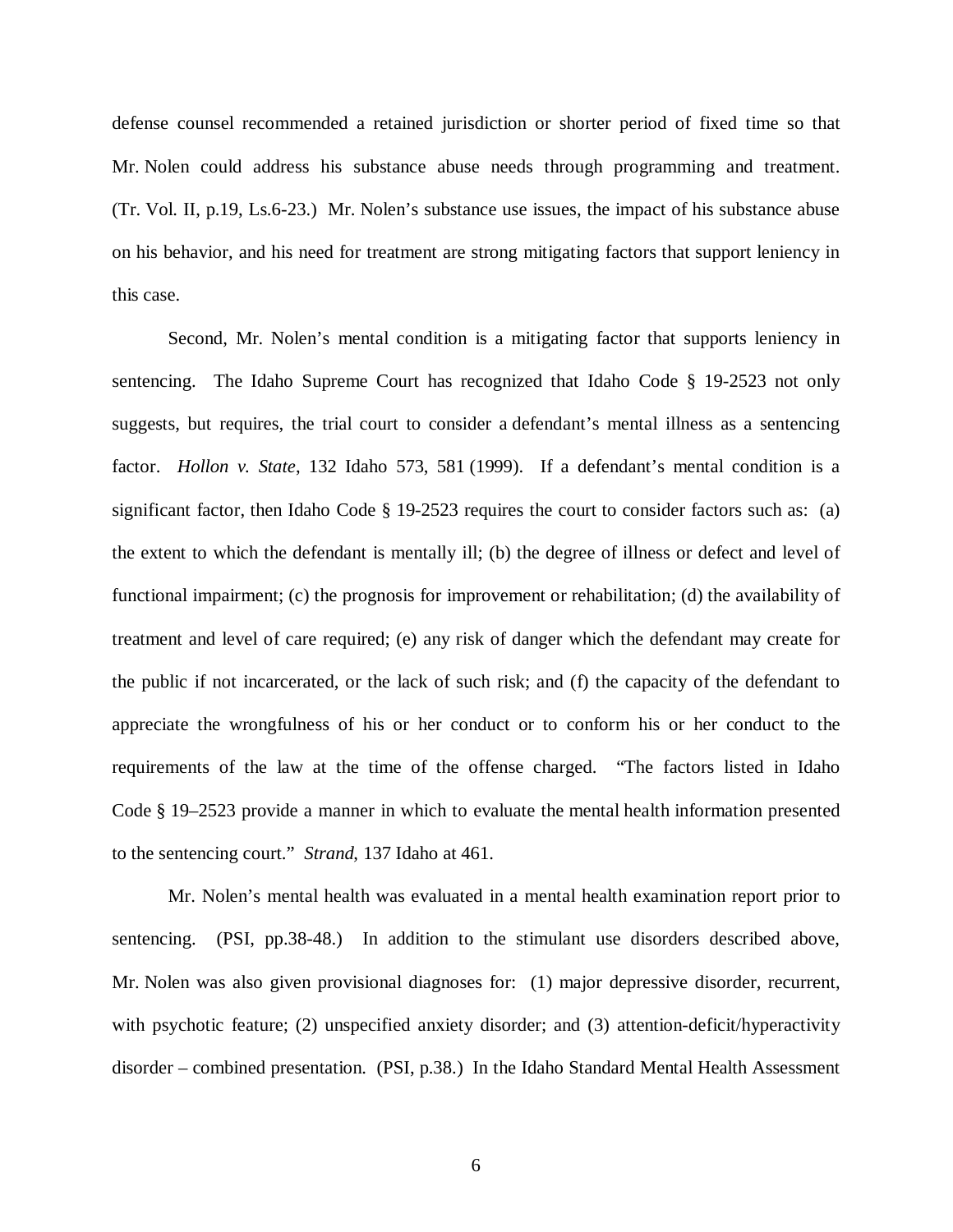defense counsel recommended a retained jurisdiction or shorter period of fixed time so that Mr. Nolen could address his substance abuse needs through programming and treatment. (Tr. Vol. II, p.19, Ls.6-23.) Mr. Nolen's substance use issues, the impact of his substance abuse on his behavior, and his need for treatment are strong mitigating factors that support leniency in this case.

Second, Mr. Nolen's mental condition is a mitigating factor that supports leniency in sentencing. The Idaho Supreme Court has recognized that Idaho Code § 19-2523 not only suggests, but requires, the trial court to consider a defendant's mental illness as a sentencing factor. *Hollon v. State*, 132 Idaho 573, 581 (1999). If a defendant's mental condition is a significant factor, then Idaho Code § 19-2523 requires the court to consider factors such as: (a) the extent to which the defendant is mentally ill; (b) the degree of illness or defect and level of functional impairment; (c) the prognosis for improvement or rehabilitation; (d) the availability of treatment and level of care required; (e) any risk of danger which the defendant may create for the public if not incarcerated, or the lack of such risk; and (f) the capacity of the defendant to appreciate the wrongfulness of his or her conduct or to conform his or her conduct to the requirements of the law at the time of the offense charged. "The factors listed in Idaho Code § 19–2523 provide a manner in which to evaluate the mental health information presented to the sentencing court." *Strand*, 137 Idaho at 461.

Mr. Nolen's mental health was evaluated in a mental health examination report prior to sentencing. (PSI, pp.38-48.) In addition to the stimulant use disorders described above, Mr. Nolen was also given provisional diagnoses for: (1) major depressive disorder, recurrent, with psychotic feature; (2) unspecified anxiety disorder; and (3) attention-deficit/hyperactivity disorder – combined presentation. (PSI, p.38.) In the Idaho Standard Mental Health Assessment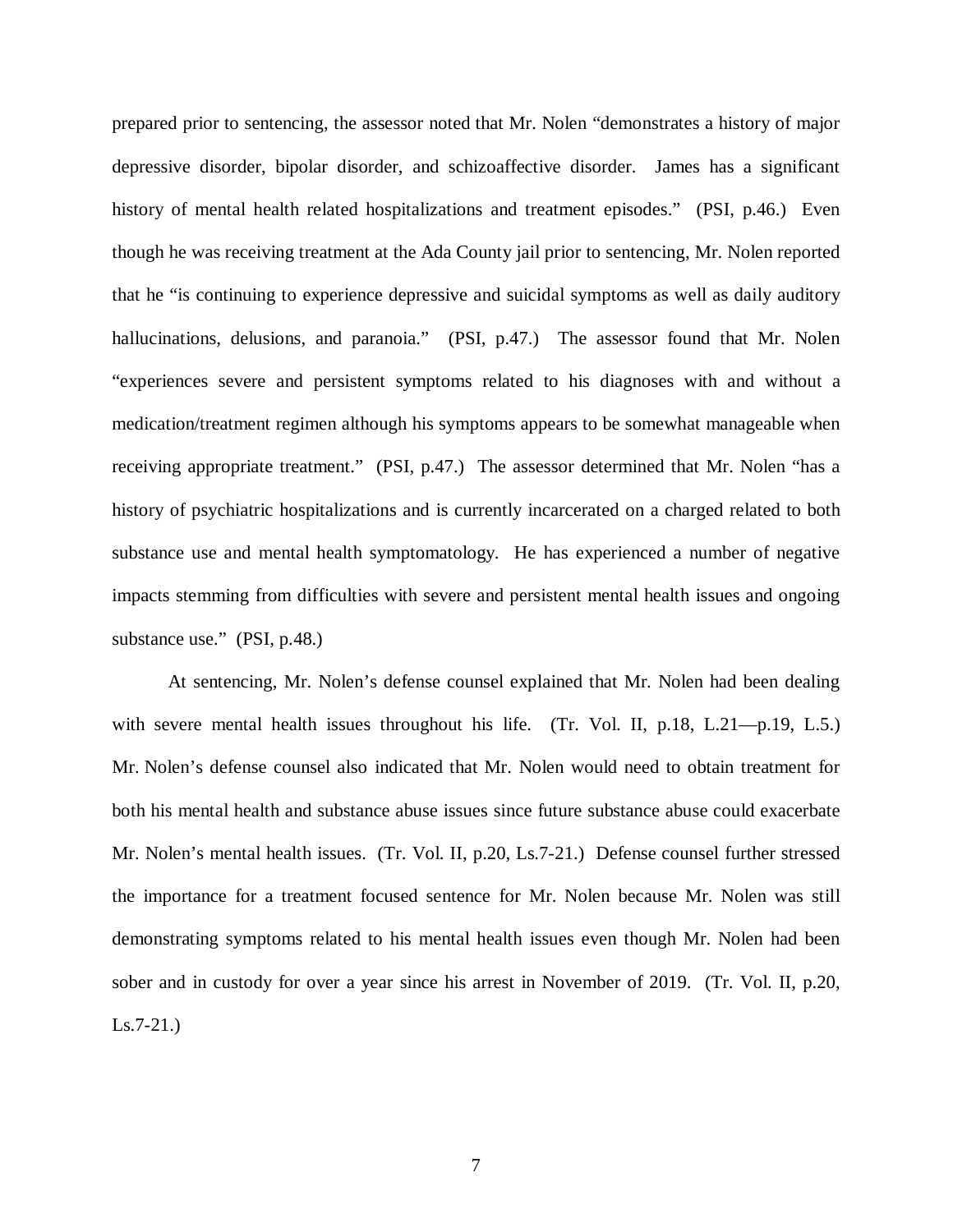prepared prior to sentencing, the assessor noted that Mr. Nolen "demonstrates a history of major depressive disorder, bipolar disorder, and schizoaffective disorder. James has a significant history of mental health related hospitalizations and treatment episodes." (PSI, p.46.) Even though he was receiving treatment at the Ada County jail prior to sentencing, Mr. Nolen reported that he "is continuing to experience depressive and suicidal symptoms as well as daily auditory hallucinations, delusions, and paranoia." (PSI, p.47.) The assessor found that Mr. Nolen "experiences severe and persistent symptoms related to his diagnoses with and without a medication/treatment regimen although his symptoms appears to be somewhat manageable when receiving appropriate treatment." (PSI, p.47.) The assessor determined that Mr. Nolen "has a history of psychiatric hospitalizations and is currently incarcerated on a charged related to both substance use and mental health symptomatology. He has experienced a number of negative impacts stemming from difficulties with severe and persistent mental health issues and ongoing substance use." (PSI, p.48.)

At sentencing, Mr. Nolen's defense counsel explained that Mr. Nolen had been dealing with severe mental health issues throughout his life. (Tr. Vol. II, p.18, L.21—p.19, L.5.) Mr. Nolen's defense counsel also indicated that Mr. Nolen would need to obtain treatment for both his mental health and substance abuse issues since future substance abuse could exacerbate Mr. Nolen's mental health issues. (Tr. Vol. II, p.20, Ls.7-21.) Defense counsel further stressed the importance for a treatment focused sentence for Mr. Nolen because Mr. Nolen was still demonstrating symptoms related to his mental health issues even though Mr. Nolen had been sober and in custody for over a year since his arrest in November of 2019. (Tr. Vol. II, p.20, Ls.7-21.)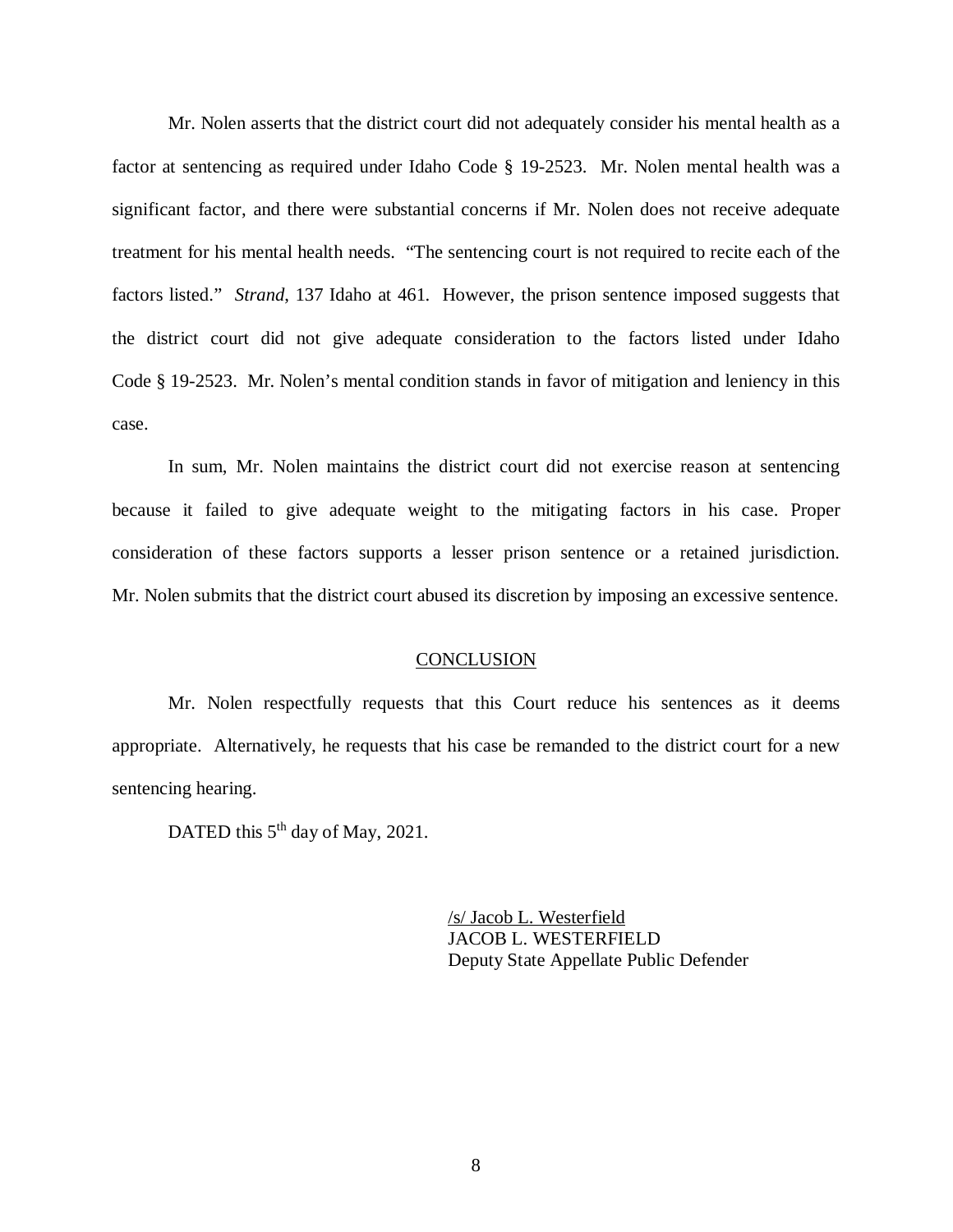Mr. Nolen asserts that the district court did not adequately consider his mental health as a factor at sentencing as required under Idaho Code § 19-2523. Mr. Nolen mental health was a significant factor, and there were substantial concerns if Mr. Nolen does not receive adequate treatment for his mental health needs. "The sentencing court is not required to recite each of the factors listed." *Strand*, 137 Idaho at 461. However, the prison sentence imposed suggests that the district court did not give adequate consideration to the factors listed under Idaho Code § 19-2523. Mr. Nolen's mental condition stands in favor of mitigation and leniency in this case.

In sum, Mr. Nolen maintains the district court did not exercise reason at sentencing because it failed to give adequate weight to the mitigating factors in his case. Proper consideration of these factors supports a lesser prison sentence or a retained jurisdiction. Mr. Nolen submits that the district court abused its discretion by imposing an excessive sentence.

#### **CONCLUSION**

Mr. Nolen respectfully requests that this Court reduce his sentences as it deems appropriate. Alternatively, he requests that his case be remanded to the district court for a new sentencing hearing.

DATED this 5<sup>th</sup> day of May, 2021.

/s/ Jacob L. Westerfield JACOB L. WESTERFIELD Deputy State Appellate Public Defender